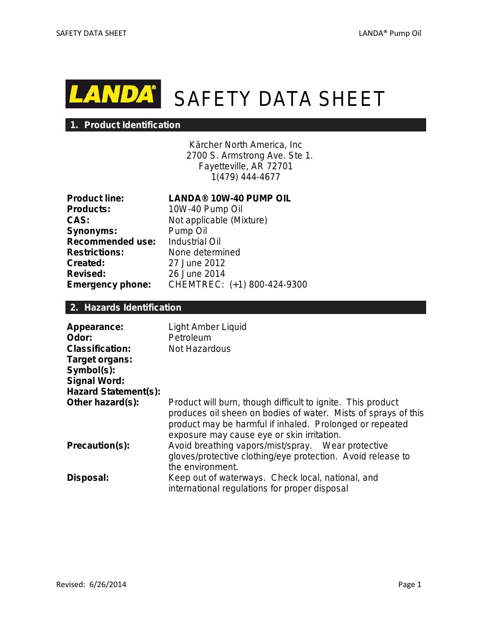

# **NDA** SAFETY DATA SHEET

### **1. Product Identification**

Kärcher North America, Inc 2700 S. Armstrong Ave. Ste 1. Fayetteville, AR 72701 1(479) 444-4677

| <b>Product line:</b>    |
|-------------------------|
| <b>Products:</b>        |
| CAS:                    |
| <b>Synonyms:</b>        |
| <b>Recommended use:</b> |
| <b>Restrictions:</b>    |
| <b>Created:</b>         |
| Revised:                |
| <b>Emergency phone:</b> |

# **Product line: LANDA® 10W-40 PUMP OIL**

**Products:** 10W-40 Pump Oil Not applicable (Mixture) **Pump Oil Industrial Oil Restrictions:** None determined **Created:** 27 June 2012 **Revised:** 26 June 2014 **Emergency phone:** CHEMTREC: (+1) 800-424-9300

# **2. Hazards Identification**

| Appearance:<br>Odor:<br><b>Classification:</b><br>Target organs:<br>Symbol(s):<br><b>Signal Word:</b><br><b>Hazard Statement(s):</b> | Light Amber Liquid<br>Petroleum<br>Not Hazardous                                                                                                                                                                                        |
|--------------------------------------------------------------------------------------------------------------------------------------|-----------------------------------------------------------------------------------------------------------------------------------------------------------------------------------------------------------------------------------------|
| Other hazard(s):                                                                                                                     | Product will burn, though difficult to ignite. This product<br>produces oil sheen on bodies of water. Mists of sprays of this<br>product may be harmful if inhaled. Prolonged or repeated<br>exposure may cause eye or skin irritation. |
| Precaution(s):                                                                                                                       | Avoid breathing vapors/mist/spray. Wear protective<br>gloves/protective clothing/eye protection. Avoid release to<br>the environment.                                                                                                   |
| Disposal:                                                                                                                            | Keep out of waterways. Check local, national, and<br>international regulations for proper disposal                                                                                                                                      |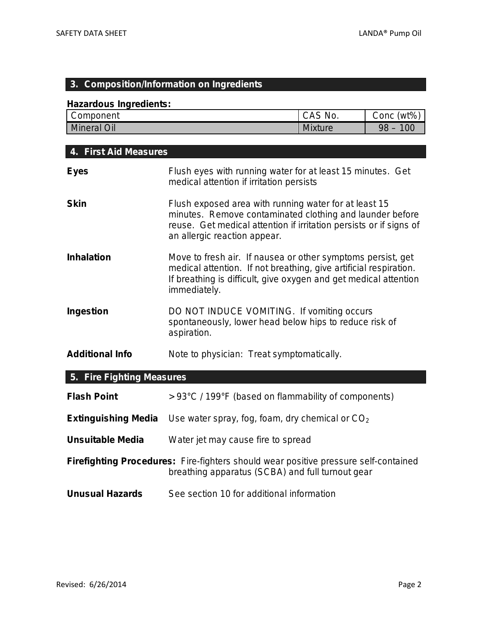# **3. Composition/Information on Ingredients**

### **Hazardous Ingredients:**

| Component      | CAS<br>No.     | $(wt\%$<br>Conc |
|----------------|----------------|-----------------|
| Mineral<br>Oil | <b>Mixture</b> | 00<br>98        |

| 4. First Aid Measures      |                                                                                                                                                                                                                         |  |
|----------------------------|-------------------------------------------------------------------------------------------------------------------------------------------------------------------------------------------------------------------------|--|
| <b>Eyes</b>                | Flush eyes with running water for at least 15 minutes. Get<br>medical attention if irritation persists                                                                                                                  |  |
| <b>Skin</b>                | Flush exposed area with running water for at least 15<br>minutes. Remove contaminated clothing and launder before<br>reuse. Get medical attention if irritation persists or if signs of<br>an allergic reaction appear. |  |
| <b>Inhalation</b>          | Move to fresh air. If nausea or other symptoms persist, get<br>medical attention. If not breathing, give artificial respiration.<br>If breathing is difficult, give oxygen and get medical attention<br>immediately.    |  |
| Ingestion                  | DO NOT INDUCE VOMITING. If vomiting occurs<br>spontaneously, lower head below hips to reduce risk of<br>aspiration.                                                                                                     |  |
| <b>Additional Info</b>     | Note to physician: Treat symptomatically.                                                                                                                                                                               |  |
| 5. Fire Fighting Measures  |                                                                                                                                                                                                                         |  |
| <b>Flash Point</b>         | > 93°C / 199°F (based on flammability of components)                                                                                                                                                                    |  |
| <b>Extinguishing Media</b> | Use water spray, fog, foam, dry chemical or $CO2$                                                                                                                                                                       |  |

**Unsuitable Media** Water jet may cause fire to spread

**Firefighting Procedures:** Fire-fighters should wear positive pressure self-contained breathing apparatus (SCBA) and full turnout gear

**Unusual Hazards** See section 10 for additional information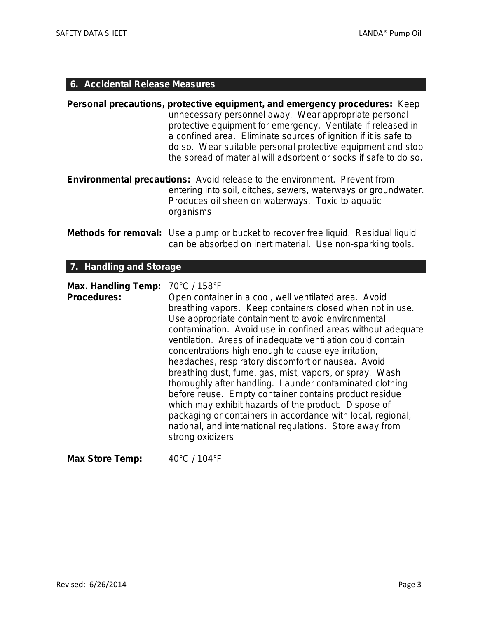# **6. Accidental Release Measures**

|                                                  | Personal precautions, protective equipment, and emergency procedures: Keep<br>unnecessary personnel away. Wear appropriate personal<br>protective equipment for emergency. Ventilate if released in<br>a confined area. Eliminate sources of ignition if it is safe to<br>do so. Wear suitable personal protective equipment and stop<br>the spread of material will adsorbent or socks if safe to do so.                                                                                                                                                                                                                                                                                                                                                                                                                  |
|--------------------------------------------------|----------------------------------------------------------------------------------------------------------------------------------------------------------------------------------------------------------------------------------------------------------------------------------------------------------------------------------------------------------------------------------------------------------------------------------------------------------------------------------------------------------------------------------------------------------------------------------------------------------------------------------------------------------------------------------------------------------------------------------------------------------------------------------------------------------------------------|
|                                                  | Environmental precautions: Avoid release to the environment. Prevent from<br>entering into soil, ditches, sewers, waterways or groundwater.<br>Produces oil sheen on waterways. Toxic to aquatic<br>organisms                                                                                                                                                                                                                                                                                                                                                                                                                                                                                                                                                                                                              |
|                                                  | <b>Methods for removal:</b> Use a pump or bucket to recover free liquid. Residual liquid<br>can be absorbed on inert material. Use non-sparking tools.                                                                                                                                                                                                                                                                                                                                                                                                                                                                                                                                                                                                                                                                     |
| 7. Handling and Storage                          |                                                                                                                                                                                                                                                                                                                                                                                                                                                                                                                                                                                                                                                                                                                                                                                                                            |
| <b>Max. Handling Temp:</b><br><b>Procedures:</b> | 70°C / 158°F<br>Open container in a cool, well ventilated area. Avoid<br>breathing vapors. Keep containers closed when not in use.<br>Use appropriate containment to avoid environmental<br>contamination. Avoid use in confined areas without adequate<br>ventilation. Areas of inadequate ventilation could contain<br>concentrations high enough to cause eye irritation,<br>headaches, respiratory discomfort or nausea. Avoid<br>breathing dust, fume, gas, mist, vapors, or spray. Wash<br>thoroughly after handling. Launder contaminated clothing<br>before reuse. Empty container contains product residue<br>which may exhibit hazards of the product. Dispose of<br>packaging or containers in accordance with local, regional,<br>national, and international regulations. Store away from<br>strong oxidizers |
| <b>Max Store Temp:</b>                           | 40°C / 104°F                                                                                                                                                                                                                                                                                                                                                                                                                                                                                                                                                                                                                                                                                                                                                                                                               |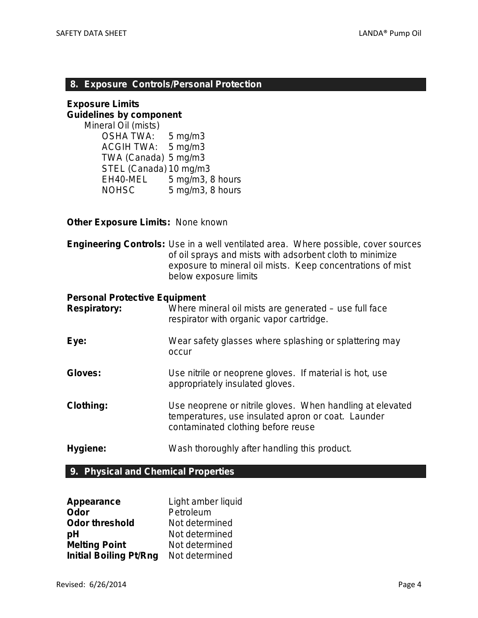### **8. Exposure Controls/Personal Protection**

### **Exposure Limits Guidelines by component**

*Mineral Oil (mists)* OSHA TWA: 5 mg/m3 ACGIH TWA: 5 mg/m3 TWA (Canada) 5 mg/m3 STEL (Canada) 10 mg/m3 EH40-MEL 5 mg/m3, 8 hours NOHSC 5 mg/m3, 8 hours

### **Other Exposure Limits:** None known

**Engineering Controls:** Use in a well ventilated area. Where possible, cover sources of oil sprays and mists with adsorbent cloth to minimize exposure to mineral oil mists. Keep concentrations of mist below exposure limits

### **Personal Protective Equipment**

| <b>Respiratory:</b> | Where mineral oil mists are generated – use full face<br>respirator with organic vapor cartridge.                                                     |
|---------------------|-------------------------------------------------------------------------------------------------------------------------------------------------------|
| Eye:                | Wear safety glasses where splashing or splattering may<br>occur                                                                                       |
| Gloves:             | Use nitrile or neoprene gloves. If material is hot, use<br>appropriately insulated gloves.                                                            |
| <b>Clothing:</b>    | Use neoprene or nitrile gloves. When handling at elevated<br>temperatures, use insulated apron or coat. Launder<br>contaminated clothing before reuse |
| Hygiene:            | Wash thoroughly after handling this product.                                                                                                          |

# **9. Physical and Chemical Properties**

| Appearance                    | Light amber liquid |
|-------------------------------|--------------------|
| Odor                          | Petroleum          |
| <b>Odor threshold</b>         | Not determined     |
| рH                            | Not determined     |
| <b>Melting Point</b>          | Not determined     |
| <b>Initial Boiling Pt/Rng</b> | Not determined     |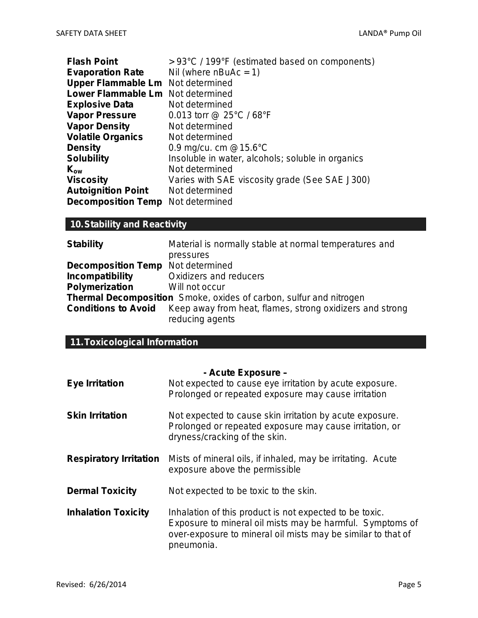| <b>Flash Point</b>                       | > 93°C / 199°F (estimated based on components)    |
|------------------------------------------|---------------------------------------------------|
| <b>Evaporation Rate</b>                  | Nil (where $nBuAc = 1$ )                          |
| Upper Flammable Lm Not determined        |                                                   |
| <b>Lower Flammable Lm</b> Not determined |                                                   |
| <b>Explosive Data</b>                    | Not determined                                    |
| <b>Vapor Pressure</b>                    | 0.013 torr @ 25 $\degree$ C / 68 $\degree$ F      |
| <b>Vapor Density</b>                     | Not determined                                    |
| <b>Volatile Organics</b>                 | Not determined                                    |
| <b>Density</b>                           | 0.9 mg/cu. cm $@15.6^{\circ}C$                    |
| <b>Solubility</b>                        | Insoluble in water, alcohols; soluble in organics |
| $K_{ow}$                                 | Not determined                                    |
| <b>Viscosity</b>                         | Varies with SAE viscosity grade (See SAE J300)    |
| <b>Autoignition Point</b>                | Not determined                                    |
| <b>Decomposition Temp</b> Not determined |                                                   |

# **10.Stability and Reactivity**

| <b>Stability</b>                         | Material is normally stable at normal temperatures and                      |  |
|------------------------------------------|-----------------------------------------------------------------------------|--|
|                                          | pressures                                                                   |  |
| <b>Decomposition Temp</b> Not determined |                                                                             |  |
| <b>Incompatibility</b>                   | Oxidizers and reducers                                                      |  |
| <b>Polymerization</b>                    | Will not occur                                                              |  |
|                                          | <b>Thermal Decomposition</b> Smoke, oxides of carbon, sulfur and nitrogen   |  |
| <b>Conditions to Avoid</b>               | Keep away from heat, flames, strong oxidizers and strong<br>reducing agents |  |

# **11.Toxicological Information**

#### **- Acute Exposure –**

| <b>Eye Irritation</b>         | Not expected to cause eye irritation by acute exposure.<br>Prolonged or repeated exposure may cause irritation                                                                                     |
|-------------------------------|----------------------------------------------------------------------------------------------------------------------------------------------------------------------------------------------------|
| <b>Skin Irritation</b>        | Not expected to cause skin irritation by acute exposure.<br>Prolonged or repeated exposure may cause irritation, or<br>dryness/cracking of the skin.                                               |
| <b>Respiratory Irritation</b> | Mists of mineral oils, if inhaled, may be irritating. Acute<br>exposure above the permissible                                                                                                      |
| <b>Dermal Toxicity</b>        | Not expected to be toxic to the skin.                                                                                                                                                              |
| <b>Inhalation Toxicity</b>    | Inhalation of this product is not expected to be toxic.<br>Exposure to mineral oil mists may be harmful. Symptoms of<br>over-exposure to mineral oil mists may be similar to that of<br>pneumonia. |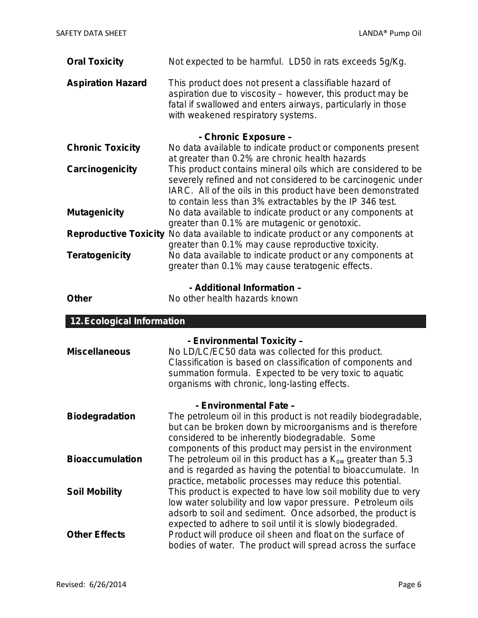| <b>Oral Toxicity</b>              | Not expected to be harmful. LD50 in rats exceeds 5g/Kg.                                                                                                                                                                    |
|-----------------------------------|----------------------------------------------------------------------------------------------------------------------------------------------------------------------------------------------------------------------------|
| <b>Aspiration Hazard</b>          | This product does not present a classifiable hazard of<br>aspiration due to viscosity - however, this product may be<br>fatal if swallowed and enters airways, particularly in those<br>with weakened respiratory systems. |
|                                   | - Chronic Exposure -                                                                                                                                                                                                       |
| <b>Chronic Toxicity</b>           | No data available to indicate product or components present                                                                                                                                                                |
|                                   | at greater than 0.2% are chronic health hazards                                                                                                                                                                            |
| Carcinogenicity                   | This product contains mineral oils which are considered to be<br>severely refined and not considered to be carcinogenic under                                                                                              |
|                                   | IARC. All of the oils in this product have been demonstrated                                                                                                                                                               |
|                                   | to contain less than 3% extractables by the IP 346 test.                                                                                                                                                                   |
| <b>Mutagenicity</b>               | No data available to indicate product or any components at                                                                                                                                                                 |
|                                   | greater than 0.1% are mutagenic or genotoxic.<br>Reproductive Toxicity No data available to indicate product or any components at                                                                                          |
|                                   | greater than 0.1% may cause reproductive toxicity.                                                                                                                                                                         |
| <b>Teratogenicity</b>             | No data available to indicate product or any components at                                                                                                                                                                 |
|                                   | greater than 0.1% may cause teratogenic effects.                                                                                                                                                                           |
|                                   | - Additional Information -                                                                                                                                                                                                 |
| <b>Other</b>                      | No other health hazards known                                                                                                                                                                                              |
|                                   |                                                                                                                                                                                                                            |
|                                   |                                                                                                                                                                                                                            |
| <b>12. Ecological Information</b> |                                                                                                                                                                                                                            |
|                                   | - Environmental Toxicity -                                                                                                                                                                                                 |
| <b>Miscellaneous</b>              | No LD/LC/EC50 data was collected for this product.                                                                                                                                                                         |
|                                   | Classification is based on classification of components and                                                                                                                                                                |
|                                   | summation formula. Expected to be very toxic to aquatic<br>organisms with chronic, long-lasting effects.                                                                                                                   |
|                                   |                                                                                                                                                                                                                            |
|                                   | - Environmental Fate -                                                                                                                                                                                                     |
| <b>Biodegradation</b>             | The petroleum oil in this product is not readily biodegradable,                                                                                                                                                            |
|                                   | but can be broken down by microorganisms and is therefore<br>considered to be inherently biodegradable. Some                                                                                                               |
|                                   | components of this product may persist in the environment                                                                                                                                                                  |
| <b>Bioaccumulation</b>            | The petroleum oil in this product has a $K_{ow}$ greater than 5.3                                                                                                                                                          |
|                                   | and is regarded as having the potential to bioaccumulate. In                                                                                                                                                               |
|                                   | practice, metabolic processes may reduce this potential.<br>This product is expected to have low soil mobility due to very                                                                                                 |
| <b>Soil Mobility</b>              | low water solubility and low vapor pressure. Petroleum oils                                                                                                                                                                |
|                                   | adsorb to soil and sediment. Once adsorbed, the product is                                                                                                                                                                 |
| <b>Other Effects</b>              | expected to adhere to soil until it is slowly biodegraded.<br>Product will produce oil sheen and float on the surface of                                                                                                   |

bodies of water. The product will spread across the surface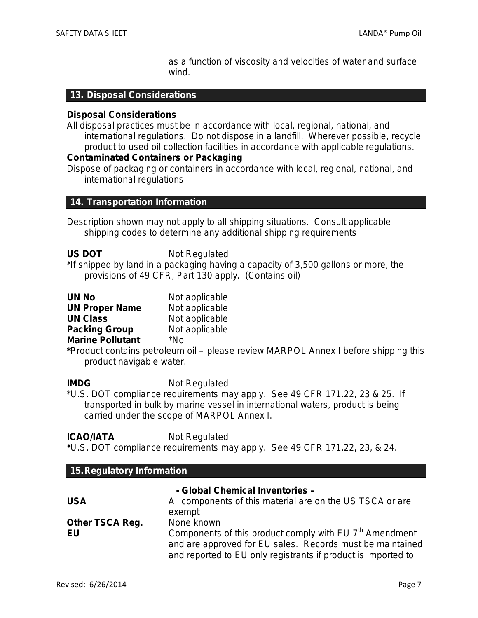as a function of viscosity and velocities of water and surface wind.

### **13. Disposal Considerations**

#### **Disposal Considerations**

All disposal practices must be in accordance with local, regional, national, and international regulations. Do not dispose in a landfill. Wherever possible, recycle product to used oil collection facilities in accordance with applicable regulations.

### **Contaminated Containers or Packaging**

Dispose of packaging or containers in accordance with local, regional, national, and international regulations

### **14. Transportation Information**

Description shown may not apply to all shipping situations. Consult applicable shipping codes to determine any additional shipping requirements

| <b>US DOT</b> | Not Regulated |
|---------------|---------------|
|---------------|---------------|

\*If shipped by land in a packaging having a capacity of 3,500 gallons or more, the provisions of 49 CFR, Part 130 apply. (Contains oil)

| <b>UN No</b>            | Not applicable |
|-------------------------|----------------|
| <b>UN Proper Name</b>   | Not applicable |
| <b>UN Class</b>         | Not applicable |
| <b>Packing Group</b>    | Not applicable |
| <b>Marine Pollutant</b> | *No            |

**\***Product contains petroleum oil – please review MARPOL Annex I before shipping this product navigable water.

### **IMDG** Not Regulated

\*U.S. DOT compliance requirements may apply. See 49 CFR 171.22, 23 & 25. If transported in bulk by marine vessel in international waters, product is being carried under the scope of MARPOL Annex I.

### **ICAO/IATA** Not Regulated

**\***U.S. DOT compliance requirements may apply. See 49 CFR 171.22, 23, & 24.

| 15. Regulatory Information      |                                                                                                                                                                                                   |
|---------------------------------|---------------------------------------------------------------------------------------------------------------------------------------------------------------------------------------------------|
| - Global Chemical Inventories - |                                                                                                                                                                                                   |
| <b>USA</b>                      | All components of this material are on the US TSCA or are<br>exempt                                                                                                                               |
| <b>Other TSCA Reg.</b>          | None known                                                                                                                                                                                        |
| EU                              | Components of this product comply with EU 7 <sup>th</sup> Amendment<br>and are approved for EU sales. Records must be maintained<br>and reported to EU only registrants if product is imported to |